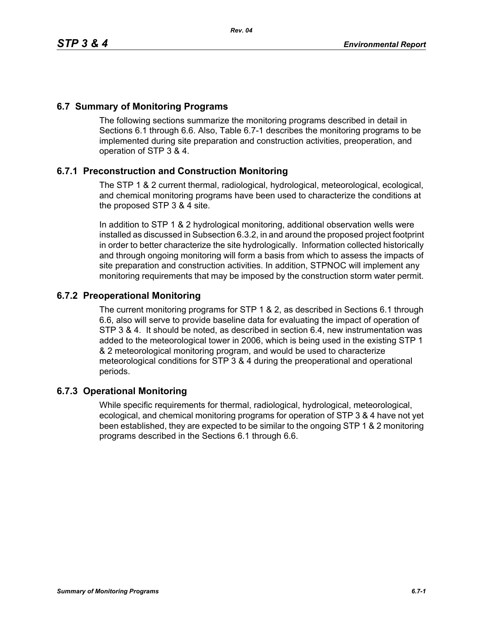## **6.7 Summary of Monitoring Programs**

The following sections summarize the monitoring programs described in detail in Sections 6.1 through 6.6. Also, Table 6.7-1 describes the monitoring programs to be implemented during site preparation and construction activities, preoperation, and operation of STP 3 & 4.

## **6.7.1 Preconstruction and Construction Monitoring**

The STP 1 & 2 current thermal, radiological, hydrological, meteorological, ecological, and chemical monitoring programs have been used to characterize the conditions at the proposed STP 3 & 4 site.

In addition to STP 1 & 2 hydrological monitoring, additional observation wells were installed as discussed in Subsection 6.3.2, in and around the proposed project footprint in order to better characterize the site hydrologically. Information collected historically and through ongoing monitoring will form a basis from which to assess the impacts of site preparation and construction activities. In addition, STPNOC will implement any monitoring requirements that may be imposed by the construction storm water permit.

## **6.7.2 Preoperational Monitoring**

The current monitoring programs for STP 1 & 2, as described in Sections 6.1 through 6.6, also will serve to provide baseline data for evaluating the impact of operation of STP 3 & 4. It should be noted, as described in section 6.4, new instrumentation was added to the meteorological tower in 2006, which is being used in the existing STP 1 & 2 meteorological monitoring program, and would be used to characterize meteorological conditions for STP 3 & 4 during the preoperational and operational periods.

## **6.7.3 Operational Monitoring**

While specific requirements for thermal, radiological, hydrological, meteorological, ecological, and chemical monitoring programs for operation of STP 3 & 4 have not yet been established, they are expected to be similar to the ongoing STP 1 & 2 monitoring programs described in the Sections 6.1 through 6.6.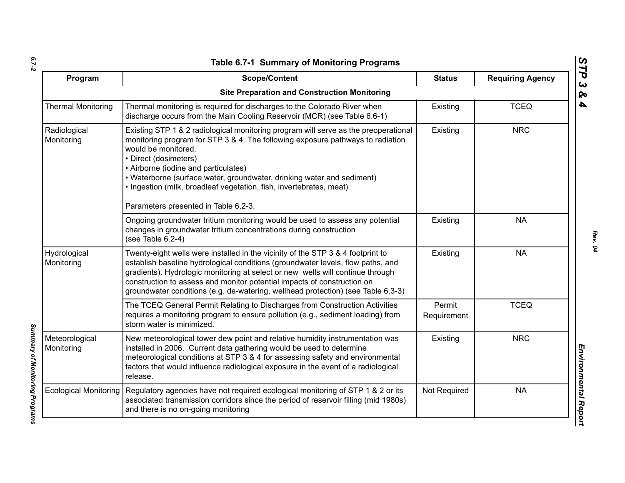| ۰.     |  |
|--------|--|
|        |  |
| $\sim$ |  |

| Program                      | <b>Scope/Content</b>                                                                                                                                                                                                                                                                                                                                                                                                                                   | <b>Status</b>         | <b>Requiring Agency</b> |
|------------------------------|--------------------------------------------------------------------------------------------------------------------------------------------------------------------------------------------------------------------------------------------------------------------------------------------------------------------------------------------------------------------------------------------------------------------------------------------------------|-----------------------|-------------------------|
|                              | <b>Site Preparation and Construction Monitoring</b>                                                                                                                                                                                                                                                                                                                                                                                                    |                       |                         |
| <b>Thermal Monitoring</b>    | Thermal monitoring is required for discharges to the Colorado River when<br>discharge occurs from the Main Cooling Reservoir (MCR) (see Table 6.6-1)                                                                                                                                                                                                                                                                                                   | Existing              | <b>TCEQ</b>             |
| Radiological<br>Monitoring   | Existing STP 1 & 2 radiological monitoring program will serve as the preoperational<br>monitoring program for STP 3 & 4. The following exposure pathways to radiation<br>would be monitored.<br>• Direct (dosimeters)<br>• Airborne (iodine and particulates)<br>• Waterborne (surface water, groundwater, drinking water and sediment)<br>. Ingestion (milk, broadleaf vegetation, fish, invertebrates, meat)<br>Parameters presented in Table 6.2-3. | Existing              | <b>NRC</b>              |
|                              | Ongoing groundwater tritium monitoring would be used to assess any potential<br>changes in groundwater tritium concentrations during construction<br>(see Table 6.2-4)                                                                                                                                                                                                                                                                                 | Existing              | <b>NA</b>               |
| Hydrological<br>Monitoring   | Twenty-eight wells were installed in the vicinity of the STP 3 & 4 footprint to<br>establish baseline hydrological conditions (groundwater levels, flow paths, and<br>gradients). Hydrologic monitoring at select or new wells will continue through<br>construction to assess and monitor potential impacts of construction on<br>groundwater conditions (e.g. de-watering, wellhead protection) (see Table 6.3-3)                                    | Existing              | <b>NA</b>               |
|                              | The TCEQ General Permit Relating to Discharges from Construction Activities<br>requires a monitoring program to ensure pollution (e.g., sediment loading) from<br>storm water is minimized.                                                                                                                                                                                                                                                            | Permit<br>Requirement | <b>TCEQ</b>             |
| Meteorological<br>Monitoring | New meteorological tower dew point and relative humidity instrumentation was<br>installed in 2006. Current data gathering would be used to determine<br>meteorological conditions at STP 3 & 4 for assessing safety and environmental<br>factors that would influence radiological exposure in the event of a radiological<br>release.                                                                                                                 | Existing              | <b>NRC</b>              |
| <b>Ecological Monitoring</b> | Regulatory agencies have not required ecological monitoring of STP 1 & 2 or its<br>associated transmission corridors since the period of reservoir filling (mid 1980s)<br>and there is no on-going monitoring                                                                                                                                                                                                                                          | Not Required          | <b>NA</b>               |

*STP 3 & 4*

Summary of Monitoring Programs *Summary of Monitoring Programs*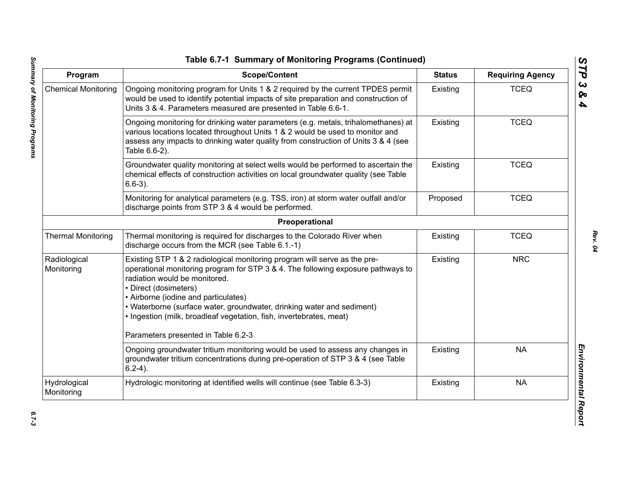| Program                    | <b>Scope/Content</b>                                                                                                                                                                                                                                                                                                                                                                                                                                    | <b>Status</b> | <b>Requiring Agency</b> |
|----------------------------|---------------------------------------------------------------------------------------------------------------------------------------------------------------------------------------------------------------------------------------------------------------------------------------------------------------------------------------------------------------------------------------------------------------------------------------------------------|---------------|-------------------------|
| <b>Chemical Monitoring</b> | Ongoing monitoring program for Units 1 & 2 required by the current TPDES permit<br>would be used to identify potential impacts of site preparation and construction of<br>Units 3 & 4. Parameters measured are presented in Table 6.6-1.                                                                                                                                                                                                                | Existing      | <b>TCEQ</b>             |
|                            | Ongoing monitoring for drinking water parameters (e.g. metals, trihalomethanes) at<br>various locations located throughout Units 1 & 2 would be used to monitor and<br>assess any impacts to drinking water quality from construction of Units 3 & 4 (see<br>Table 6.6-2).                                                                                                                                                                              | Existing      | <b>TCEQ</b>             |
|                            | Groundwater quality monitoring at select wells would be performed to ascertain the<br>chemical effects of construction activities on local groundwater quality (see Table<br>$6.6-3$ ).                                                                                                                                                                                                                                                                 | Existing      | <b>TCEQ</b>             |
|                            | Monitoring for analytical parameters (e.g. TSS, iron) at storm water outfall and/or<br>discharge points from STP 3 & 4 would be performed.                                                                                                                                                                                                                                                                                                              | Proposed      | <b>TCEQ</b>             |
|                            | Preoperational                                                                                                                                                                                                                                                                                                                                                                                                                                          |               |                         |
| <b>Thermal Monitoring</b>  | Thermal monitoring is required for discharges to the Colorado River when<br>discharge occurs from the MCR (see Table 6.1.-1)                                                                                                                                                                                                                                                                                                                            | Existing      | <b>TCEQ</b>             |
| Radiological<br>Monitoring | Existing STP 1 & 2 radiological monitoring program will serve as the pre-<br>operational monitoring program for STP 3 & 4. The following exposure pathways to<br>radiation would be monitored.<br>• Direct (dosimeters)<br>• Airborne (iodine and particulates)<br>• Waterborne (surface water, groundwater, drinking water and sediment)<br>. Ingestion (milk, broadleaf vegetation, fish, invertebrates, meat)<br>Parameters presented in Table 6.2-3 | Existing      | <b>NRC</b>              |
|                            | Ongoing groundwater tritium monitoring would be used to assess any changes in<br>groundwater tritium concentrations during pre-operation of STP 3 & 4 (see Table<br>$6.2-4$ ).                                                                                                                                                                                                                                                                          | Existing      | <b>NA</b>               |
| Hydrological<br>Monitoring | Hydrologic monitoring at identified wells will continue (see Table 6.3-3)                                                                                                                                                                                                                                                                                                                                                                               | Existing      | <b>NA</b>               |

*STP 3 & 4*

 $6.7 - 3$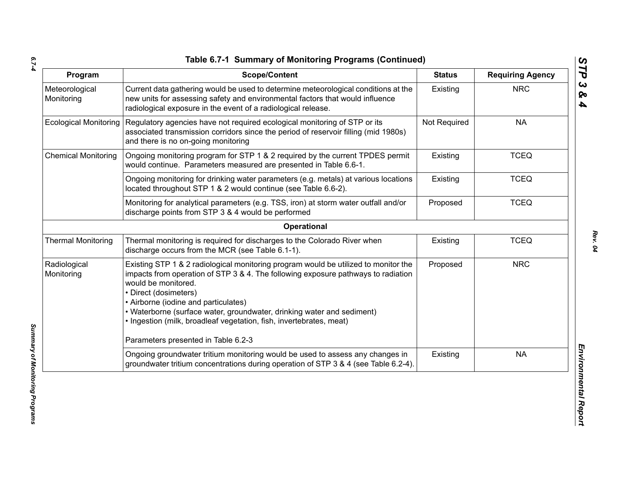*6.7-4*

| Program                      | <b>Scope/Content</b>                                                                                                                                                                                                                                                                                                                                                                                              | <b>Status</b> | <b>Requiring Agency</b> |
|------------------------------|-------------------------------------------------------------------------------------------------------------------------------------------------------------------------------------------------------------------------------------------------------------------------------------------------------------------------------------------------------------------------------------------------------------------|---------------|-------------------------|
| Meteorological<br>Monitoring | Current data gathering would be used to determine meteorological conditions at the<br>new units for assessing safety and environmental factors that would influence<br>radiological exposure in the event of a radiological release.                                                                                                                                                                              | Existing      | <b>NRC</b>              |
| <b>Ecological Monitoring</b> | Regulatory agencies have not required ecological monitoring of STP or its<br>associated transmission corridors since the period of reservoir filling (mid 1980s)<br>and there is no on-going monitoring                                                                                                                                                                                                           | Not Required  | <b>NA</b>               |
| <b>Chemical Monitoring</b>   | Ongoing monitoring program for STP 1 & 2 required by the current TPDES permit<br>would continue. Parameters measured are presented in Table 6.6-1.                                                                                                                                                                                                                                                                | Existing      | <b>TCEQ</b>             |
|                              | Ongoing monitoring for drinking water parameters (e.g. metals) at various locations<br>located throughout STP 1 & 2 would continue (see Table 6.6-2).                                                                                                                                                                                                                                                             | Existing      | <b>TCEQ</b>             |
|                              | Monitoring for analytical parameters (e.g. TSS, iron) at storm water outfall and/or<br>discharge points from STP 3 & 4 would be performed                                                                                                                                                                                                                                                                         | Proposed      | <b>TCEQ</b>             |
|                              | Operational                                                                                                                                                                                                                                                                                                                                                                                                       |               |                         |
| <b>Thermal Monitoring</b>    | Thermal monitoring is required for discharges to the Colorado River when<br>discharge occurs from the MCR (see Table 6.1-1).                                                                                                                                                                                                                                                                                      | Existing      | <b>TCEQ</b>             |
| Radiological<br>Monitoring   | Existing STP 1 & 2 radiological monitoring program would be utilized to monitor the<br>impacts from operation of STP 3 & 4. The following exposure pathways to radiation<br>would be monitored.<br>• Direct (dosimeters)<br>• Airborne (iodine and particulates)<br>• Waterborne (surface water, groundwater, drinking water and sediment)<br>· Ingestion (milk, broadleaf vegetation, fish, invertebrates, meat) | Proposed      | <b>NRC</b>              |
|                              | Parameters presented in Table 6.2-3                                                                                                                                                                                                                                                                                                                                                                               |               |                         |
|                              | Ongoing groundwater tritium monitoring would be used to assess any changes in<br>groundwater tritium concentrations during operation of STP 3 & 4 (see Table 6.2-4).                                                                                                                                                                                                                                              | Existing      | <b>NA</b>               |

*Summary of Monitoring Programs*